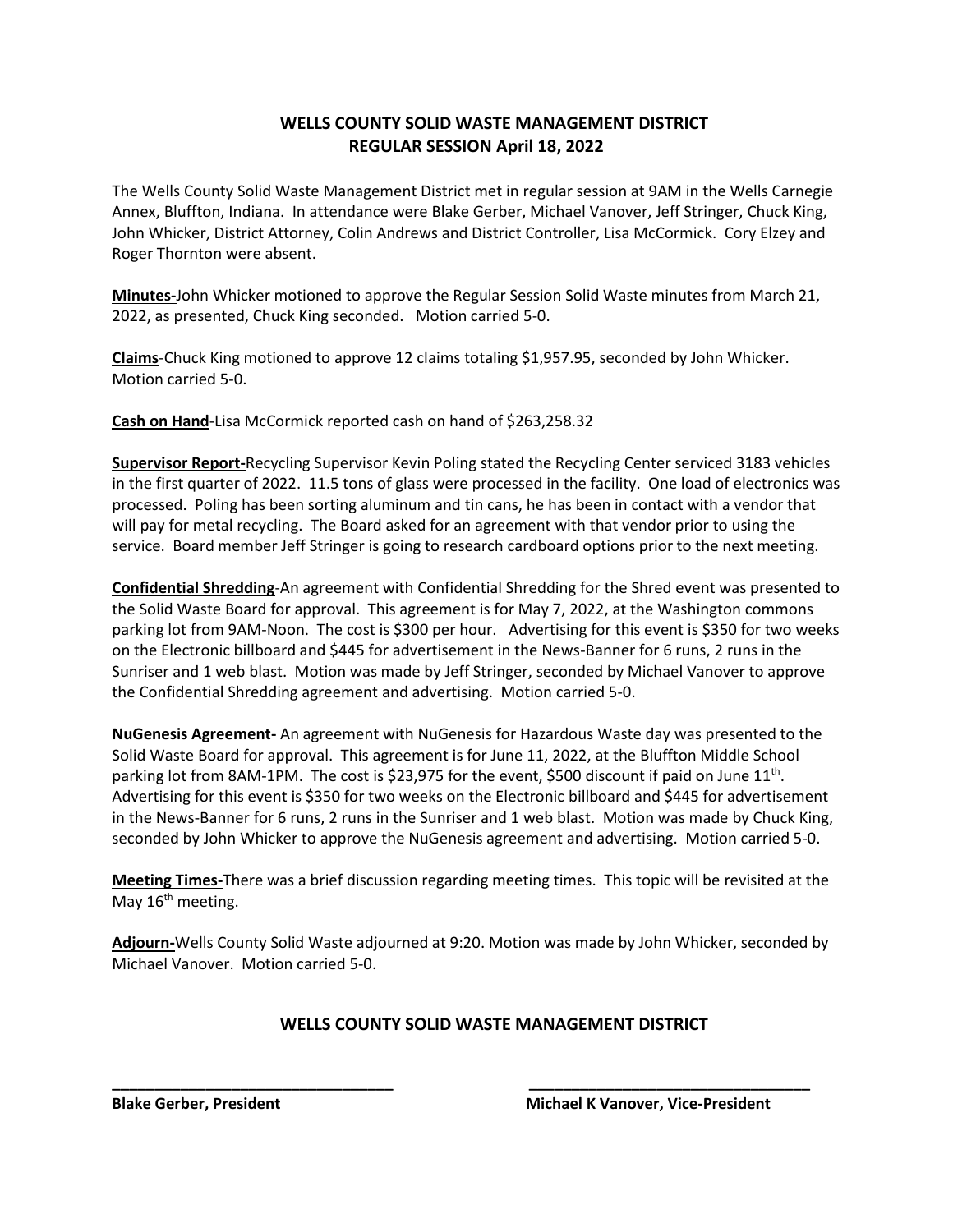## **WELLS COUNTY SOLID WASTE MANAGEMENT DISTRICT REGULAR SESSION April 18, 2022**

The Wells County Solid Waste Management District met in regular session at 9AM in the Wells Carnegie Annex, Bluffton, Indiana. In attendance were Blake Gerber, Michael Vanover, Jeff Stringer, Chuck King, John Whicker, District Attorney, Colin Andrews and District Controller, Lisa McCormick. Cory Elzey and Roger Thornton were absent.

**Minutes-**John Whicker motioned to approve the Regular Session Solid Waste minutes from March 21, 2022, as presented, Chuck King seconded. Motion carried 5-0.

**Claims**-Chuck King motioned to approve 12 claims totaling \$1,957.95, seconded by John Whicker. Motion carried 5-0.

**Cash on Hand**-Lisa McCormick reported cash on hand of \$263,258.32

**Supervisor Report-**Recycling Supervisor Kevin Poling stated the Recycling Center serviced 3183 vehicles in the first quarter of 2022. 11.5 tons of glass were processed in the facility. One load of electronics was processed. Poling has been sorting aluminum and tin cans, he has been in contact with a vendor that will pay for metal recycling. The Board asked for an agreement with that vendor prior to using the service. Board member Jeff Stringer is going to research cardboard options prior to the next meeting.

**Confidential Shredding**-An agreement with Confidential Shredding for the Shred event was presented to the Solid Waste Board for approval. This agreement is for May 7, 2022, at the Washington commons parking lot from 9AM-Noon. The cost is \$300 per hour. Advertising for this event is \$350 for two weeks on the Electronic billboard and \$445 for advertisement in the News-Banner for 6 runs, 2 runs in the Sunriser and 1 web blast. Motion was made by Jeff Stringer, seconded by Michael Vanover to approve the Confidential Shredding agreement and advertising. Motion carried 5-0.

**NuGenesis Agreement-** An agreement with NuGenesis for Hazardous Waste day was presented to the Solid Waste Board for approval. This agreement is for June 11, 2022, at the Bluffton Middle School parking lot from 8AM-1PM. The cost is \$23,975 for the event, \$500 discount if paid on June  $11<sup>th</sup>$ . Advertising for this event is \$350 for two weeks on the Electronic billboard and \$445 for advertisement in the News-Banner for 6 runs, 2 runs in the Sunriser and 1 web blast. Motion was made by Chuck King, seconded by John Whicker to approve the NuGenesis agreement and advertising. Motion carried 5-0.

**Meeting Times-**There was a brief discussion regarding meeting times. This topic will be revisited at the May  $16<sup>th</sup>$  meeting.

**Adjourn-**Wells County Solid Waste adjourned at 9:20. Motion was made by John Whicker, seconded by Michael Vanover. Motion carried 5-0.

**\_\_\_\_\_\_\_\_\_\_\_\_\_\_\_\_\_\_\_\_\_\_\_\_\_\_\_\_\_\_\_\_\_ \_\_\_\_\_\_\_\_\_\_\_\_\_\_\_\_\_\_\_\_\_\_\_\_\_\_\_\_\_\_\_\_\_**

## **WELLS COUNTY SOLID WASTE MANAGEMENT DISTRICT**